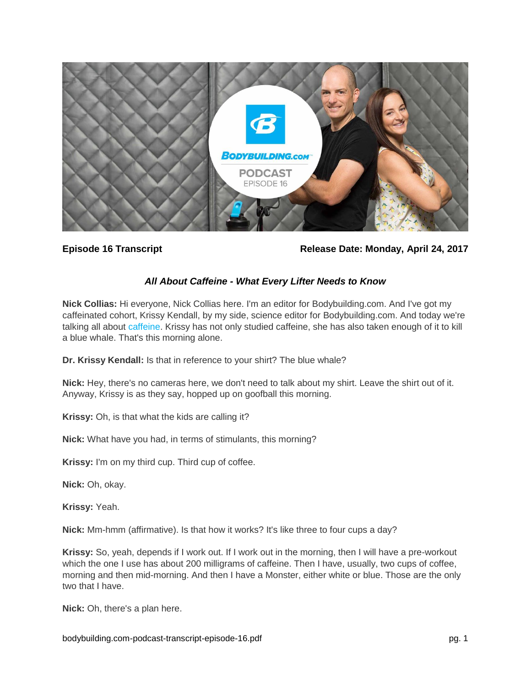

**Episode 16 Transcript Release Date: Monday, April 24, 2017**

# *All About Caffeine - What Every Lifter Needs to Know*

**Nick Collias:** Hi everyone, Nick Collias here. I'm an editor for Bodybuilding.com. And I've got my caffeinated cohort, Krissy Kendall, by my side, science editor for Bodybuilding.com. And today we're talking all about [caffeine.](https://www.bodybuilding.com/store/caffeine.html) Krissy has not only studied caffeine, she has also taken enough of it to kill a blue whale. That's this morning alone.

**Dr. Krissy Kendall:** Is that in reference to your shirt? The blue whale?

**Nick:** Hey, there's no cameras here, we don't need to talk about my shirt. Leave the shirt out of it. Anyway, Krissy is as they say, hopped up on goofball this morning.

**Krissy:** Oh, is that what the kids are calling it?

**Nick:** What have you had, in terms of stimulants, this morning?

**Krissy:** I'm on my third cup. Third cup of coffee.

**Nick:** Oh, okay.

**Krissy:** Yeah.

**Nick:** Mm-hmm (affirmative). Is that how it works? It's like three to four cups a day?

**Krissy:** So, yeah, depends if I work out. If I work out in the morning, then I will have a pre-workout which the one I use has about 200 milligrams of caffeine. Then I have, usually, two cups of coffee, morning and then mid-morning. And then I have a Monster, either white or blue. Those are the only two that I have.

**Nick:** Oh, there's a plan here.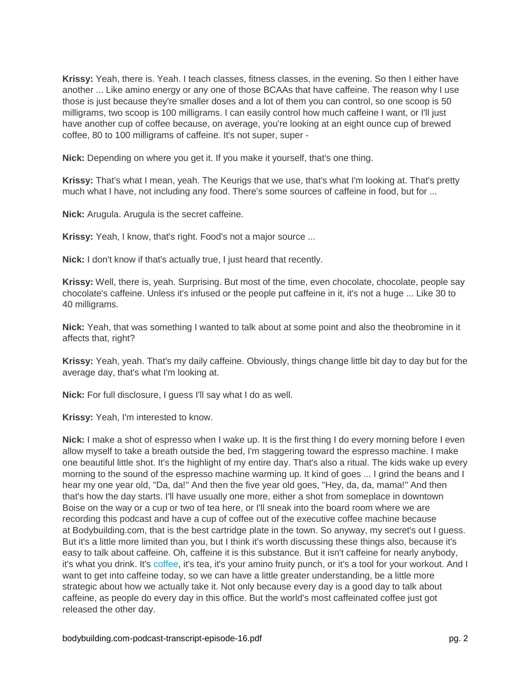**Krissy:** Yeah, there is. Yeah. I teach classes, fitness classes, in the evening. So then I either have another ... Like amino energy or any one of those BCAAs that have caffeine. The reason why I use those is just because they're smaller doses and a lot of them you can control, so one scoop is 50 milligrams, two scoop is 100 milligrams. I can easily control how much caffeine I want, or I'll just have another cup of coffee because, on average, you're looking at an eight ounce cup of brewed coffee, 80 to 100 milligrams of caffeine. It's not super, super -

**Nick:** Depending on where you get it. If you make it yourself, that's one thing.

**Krissy:** That's what I mean, yeah. The Keurigs that we use, that's what I'm looking at. That's pretty much what I have, not including any food. There's some sources of caffeine in food, but for ...

**Nick:** Arugula. Arugula is the secret caffeine.

**Krissy:** Yeah, I know, that's right. Food's not a major source ...

**Nick:** I don't know if that's actually true, I just heard that recently.

**Krissy:** Well, there is, yeah. Surprising. But most of the time, even chocolate, chocolate, people say chocolate's caffeine. Unless it's infused or the people put caffeine in it, it's not a huge ... Like 30 to 40 milligrams.

**Nick:** Yeah, that was something I wanted to talk about at some point and also the theobromine in it affects that, right?

**Krissy:** Yeah, yeah. That's my daily caffeine. Obviously, things change little bit day to day but for the average day, that's what I'm looking at.

**Nick:** For full disclosure, I guess I'll say what I do as well.

**Krissy:** Yeah, I'm interested to know.

**Nick:** I make a shot of espresso when I wake up. It is the first thing I do every morning before I even allow myself to take a breath outside the bed, I'm staggering toward the espresso machine. I make one beautiful little shot. It's the highlight of my entire day. That's also a ritual. The kids wake up every morning to the sound of the espresso machine warming up. It kind of goes ... I grind the beans and I hear my one year old, "Da, da!" And then the five year old goes, "Hey, da, da, mama!" And then that's how the day starts. I'll have usually one more, either a shot from someplace in downtown Boise on the way or a cup or two of tea here, or I'll sneak into the board room where we are recording this podcast and have a cup of coffee out of the executive coffee machine because at Bodybuilding.com, that is the best cartridge plate in the town. So anyway, my secret's out I guess. But it's a little more limited than you, but I think it's worth discussing these things also, because it's easy to talk about caffeine. Oh, caffeine it is this substance. But it isn't caffeine for nearly anybody, it's what you drink. It's [coffee,](https://www.bodybuilding.com/content/ask-the-science-chick-does-coffee-count-toward-fluid-requirements.html) it's tea, it's your amino fruity punch, or it's a tool for your workout. And I want to get into caffeine today, so we can have a little greater understanding, be a little more strategic about how we actually take it. Not only because every day is a good day to talk about caffeine, as people do every day in this office. But the world's most caffeinated coffee just got released the other day.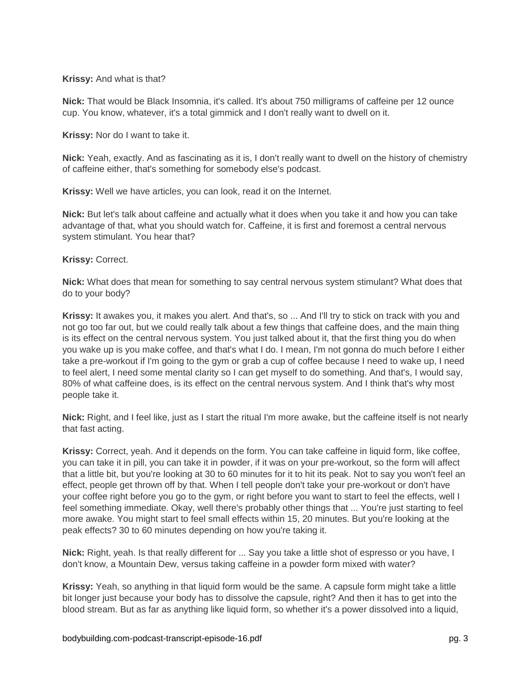## **Krissy:** And what is that?

**Nick:** That would be Black Insomnia, it's called. It's about 750 milligrams of caffeine per 12 ounce cup. You know, whatever, it's a total gimmick and I don't really want to dwell on it.

**Krissy:** Nor do I want to take it.

**Nick:** Yeah, exactly. And as fascinating as it is, I don't really want to dwell on the history of chemistry of caffeine either, that's something for somebody else's podcast.

**Krissy:** Well we have articles, you can look, read it on the Internet.

**Nick:** But let's talk about caffeine and actually what it does when you take it and how you can take advantage of that, what you should watch for. Caffeine, it is first and foremost a central nervous system stimulant. You hear that?

## **Krissy:** Correct.

**Nick:** What does that mean for something to say central nervous system stimulant? What does that do to your body?

**Krissy:** It awakes you, it makes you alert. And that's, so ... And I'll try to stick on track with you and not go too far out, but we could really talk about a few things that caffeine does, and the main thing is its effect on the central nervous system. You just talked about it, that the first thing you do when you wake up is you make coffee, and that's what I do. I mean, I'm not gonna do much before I either take a pre-workout if I'm going to the gym or grab a cup of coffee because I need to wake up, I need to feel alert, I need some mental clarity so I can get myself to do something. And that's, I would say, 80% of what caffeine does, is its effect on the central nervous system. And I think that's why most people take it.

**Nick:** Right, and I feel like, just as I start the ritual I'm more awake, but the caffeine itself is not nearly that fast acting.

**Krissy:** Correct, yeah. And it depends on the form. You can take caffeine in liquid form, like coffee, you can take it in pill, you can take it in powder, if it was on your pre-workout, so the form will affect that a little bit, but you're looking at 30 to 60 minutes for it to hit its peak. Not to say you won't feel an effect, people get thrown off by that. When I tell people don't take your pre-workout or don't have your coffee right before you go to the gym, or right before you want to start to feel the effects, well I feel something immediate. Okay, well there's probably other things that ... You're just starting to feel more awake. You might start to feel small effects within 15, 20 minutes. But you're looking at the peak effects? 30 to 60 minutes depending on how you're taking it.

**Nick:** Right, yeah. Is that really different for ... Say you take a little shot of espresso or you have, I don't know, a Mountain Dew, versus taking caffeine in a powder form mixed with water?

**Krissy:** Yeah, so anything in that liquid form would be the same. A capsule form might take a little bit longer just because your body has to dissolve the capsule, right? And then it has to get into the blood stream. But as far as anything like liquid form, so whether it's a power dissolved into a liquid,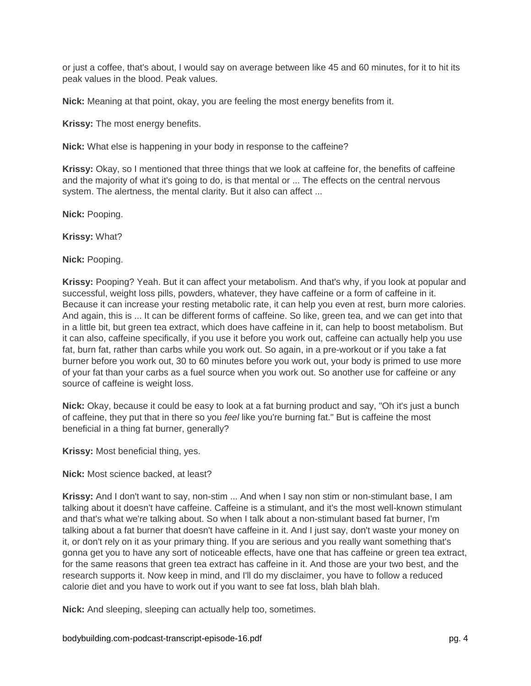or just a coffee, that's about, I would say on average between like 45 and 60 minutes, for it to hit its peak values in the blood. Peak values.

**Nick:** Meaning at that point, okay, you are feeling the most energy benefits from it.

**Krissy:** The most energy benefits.

**Nick:** What else is happening in your body in response to the caffeine?

**Krissy:** Okay, so I mentioned that three things that we look at caffeine for, the benefits of caffeine and the majority of what it's going to do, is that mental or ... The effects on the central nervous system. The alertness, the mental clarity. But it also can affect ...

**Nick:** Pooping.

**Krissy:** What?

**Nick:** Pooping.

**Krissy:** Pooping? Yeah. But it can affect your metabolism. And that's why, if you look at popular and successful, weight loss pills, powders, whatever, they have caffeine or a form of caffeine in it. Because it can increase your resting metabolic rate, it can help you even at rest, burn more calories. And again, this is ... It can be different forms of caffeine. So like, green tea, and we can get into that in a little bit, but green tea extract, which does have caffeine in it, can help to boost metabolism. But it can also, caffeine specifically, if you use it before you work out, caffeine can actually help you use fat, burn fat, rather than carbs while you work out. So again, in a pre-workout or if you take a fat burner before you work out, 30 to 60 minutes before you work out, your body is primed to use more of your fat than your carbs as a fuel source when you work out. So another use for caffeine or any source of caffeine is weight loss.

**Nick:** Okay, because it could be easy to look at a fat burning product and say, "Oh it's just a bunch of caffeine, they put that in there so you *feel* like you're burning fat." But is caffeine the most beneficial in a thing fat burner, generally?

**Krissy:** Most beneficial thing, yes.

**Nick:** Most science backed, at least?

**Krissy:** And I don't want to say, non-stim ... And when I say non stim or non-stimulant base, I am talking about it doesn't have caffeine. Caffeine is a stimulant, and it's the most well-known stimulant and that's what we're talking about. So when I talk about a non-stimulant based fat burner, I'm talking about a fat burner that doesn't have caffeine in it. And I just say, don't waste your money on it, or don't rely on it as your primary thing. If you are serious and you really want something that's gonna get you to have any sort of noticeable effects, have one that has caffeine or green tea extract, for the same reasons that green tea extract has caffeine in it. And those are your two best, and the research supports it. Now keep in mind, and I'll do my disclaimer, you have to follow a reduced calorie diet and you have to work out if you want to see fat loss, blah blah blah.

**Nick:** And sleeping, sleeping can actually help too, sometimes.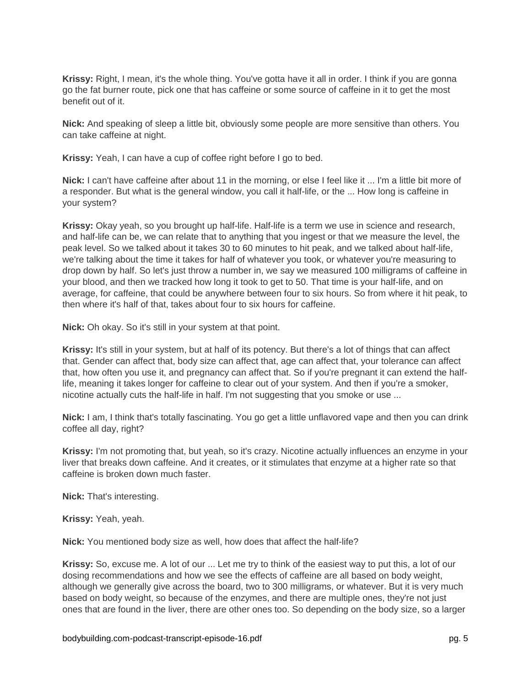**Krissy:** Right, I mean, it's the whole thing. You've gotta have it all in order. I think if you are gonna go the fat burner route, pick one that has caffeine or some source of caffeine in it to get the most benefit out of it.

**Nick:** And speaking of sleep a little bit, obviously some people are more sensitive than others. You can take caffeine at night.

**Krissy:** Yeah, I can have a cup of coffee right before I go to bed.

**Nick:** I can't have caffeine after about 11 in the morning, or else I feel like it ... I'm a little bit more of a responder. But what is the general window, you call it half-life, or the ... How long is caffeine in your system?

**Krissy:** Okay yeah, so you brought up half-life. Half-life is a term we use in science and research, and half-life can be, we can relate that to anything that you ingest or that we measure the level, the peak level. So we talked about it takes 30 to 60 minutes to hit peak, and we talked about half-life, we're talking about the time it takes for half of whatever you took, or whatever you're measuring to drop down by half. So let's just throw a number in, we say we measured 100 milligrams of caffeine in your blood, and then we tracked how long it took to get to 50. That time is your half-life, and on average, for caffeine, that could be anywhere between four to six hours. So from where it hit peak, to then where it's half of that, takes about four to six hours for caffeine.

**Nick:** Oh okay. So it's still in your system at that point.

**Krissy:** It's still in your system, but at half of its potency. But there's a lot of things that can affect that. Gender can affect that, body size can affect that, age can affect that, your tolerance can affect that, how often you use it, and pregnancy can affect that. So if you're pregnant it can extend the halflife, meaning it takes longer for caffeine to clear out of your system. And then if you're a smoker, nicotine actually cuts the half-life in half. I'm not suggesting that you smoke or use ...

**Nick:** I am, I think that's totally fascinating. You go get a little unflavored vape and then you can drink coffee all day, right?

**Krissy:** I'm not promoting that, but yeah, so it's crazy. Nicotine actually influences an enzyme in your liver that breaks down caffeine. And it creates, or it stimulates that enzyme at a higher rate so that caffeine is broken down much faster.

**Nick:** That's interesting.

**Krissy:** Yeah, yeah.

**Nick:** You mentioned body size as well, how does that affect the half-life?

**Krissy:** So, excuse me. A lot of our ... Let me try to think of the easiest way to put this, a lot of our dosing recommendations and how we see the effects of caffeine are all based on body weight, although we generally give across the board, two to 300 milligrams, or whatever. But it is very much based on body weight, so because of the enzymes, and there are multiple ones, they're not just ones that are found in the liver, there are other ones too. So depending on the body size, so a larger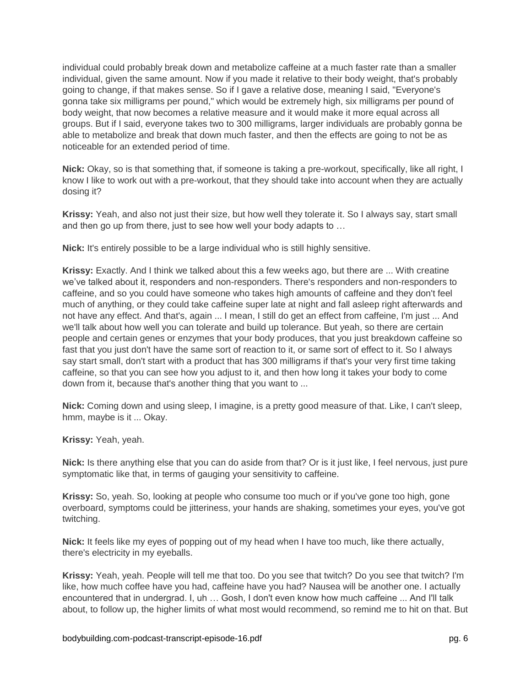individual could probably break down and metabolize caffeine at a much faster rate than a smaller individual, given the same amount. Now if you made it relative to their body weight, that's probably going to change, if that makes sense. So if I gave a relative dose, meaning I said, "Everyone's gonna take six milligrams per pound," which would be extremely high, six milligrams per pound of body weight, that now becomes a relative measure and it would make it more equal across all groups. But if I said, everyone takes two to 300 milligrams, larger individuals are probably gonna be able to metabolize and break that down much faster, and then the effects are going to not be as noticeable for an extended period of time.

**Nick:** Okay, so is that something that, if someone is taking a pre-workout, specifically, like all right, I know I like to work out with a pre-workout, that they should take into account when they are actually dosing it?

**Krissy:** Yeah, and also not just their size, but how well they tolerate it. So I always say, start small and then go up from there, just to see how well your body adapts to …

**Nick:** It's entirely possible to be a large individual who is still highly sensitive.

**Krissy:** Exactly. And I think we talked about this a few weeks ago, but there are ... With creatine we've talked about it, responders and non-responders. There's responders and non-responders to caffeine, and so you could have someone who takes high amounts of caffeine and they don't feel much of anything, or they could take caffeine super late at night and fall asleep right afterwards and not have any effect. And that's, again ... I mean, I still do get an effect from caffeine, I'm just ... And we'll talk about how well you can tolerate and build up tolerance. But yeah, so there are certain people and certain genes or enzymes that your body produces, that you just breakdown caffeine so fast that you just don't have the same sort of reaction to it, or same sort of effect to it. So I always say start small, don't start with a product that has 300 milligrams if that's your very first time taking caffeine, so that you can see how you adjust to it, and then how long it takes your body to come down from it, because that's another thing that you want to ...

**Nick:** Coming down and using sleep, I imagine, is a pretty good measure of that. Like, I can't sleep, hmm, maybe is it ... Okay.

**Krissy:** Yeah, yeah.

**Nick:** Is there anything else that you can do aside from that? Or is it just like, I feel nervous, just pure symptomatic like that, in terms of gauging your sensitivity to caffeine.

**Krissy:** So, yeah. So, looking at people who consume too much or if you've gone too high, gone overboard, symptoms could be jitteriness, your hands are shaking, sometimes your eyes, you've got twitching.

**Nick:** It feels like my eyes of popping out of my head when I have too much, like there actually, there's electricity in my eyeballs.

**Krissy:** Yeah, yeah. People will tell me that too. Do you see that twitch? Do you see that twitch? I'm like, how much coffee have you had, caffeine have you had? Nausea will be another one. I actually encountered that in undergrad. I, uh … Gosh, I don't even know how much caffeine ... And I'll talk about, to follow up, the higher limits of what most would recommend, so remind me to hit on that. But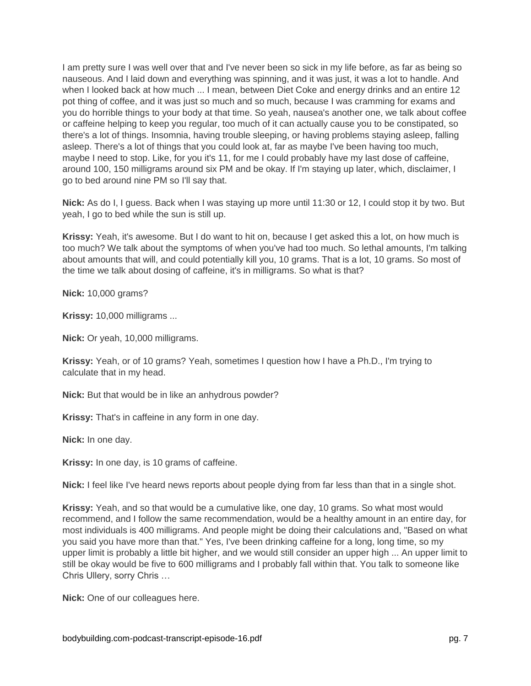I am pretty sure I was well over that and I've never been so sick in my life before, as far as being so nauseous. And I laid down and everything was spinning, and it was just, it was a lot to handle. And when I looked back at how much ... I mean, between Diet Coke and energy drinks and an entire 12 pot thing of coffee, and it was just so much and so much, because I was cramming for exams and you do horrible things to your body at that time. So yeah, nausea's another one, we talk about coffee or caffeine helping to keep you regular, too much of it can actually cause you to be constipated, so there's a lot of things. Insomnia, having trouble sleeping, or having problems staying asleep, falling asleep. There's a lot of things that you could look at, far as maybe I've been having too much, maybe I need to stop. Like, for you it's 11, for me I could probably have my last dose of caffeine, around 100, 150 milligrams around six PM and be okay. If I'm staying up later, which, disclaimer, I go to bed around nine PM so I'll say that.

**Nick:** As do I, I guess. Back when I was staying up more until 11:30 or 12, I could stop it by two. But yeah, I go to bed while the sun is still up.

**Krissy:** Yeah, it's awesome. But I do want to hit on, because I get asked this a lot, on how much is too much? We talk about the symptoms of when you've had too much. So lethal amounts, I'm talking about amounts that will, and could potentially kill you, 10 grams. That is a lot, 10 grams. So most of the time we talk about dosing of caffeine, it's in milligrams. So what is that?

**Nick:** 10,000 grams?

**Krissy:** 10,000 milligrams ...

**Nick:** Or yeah, 10,000 milligrams.

**Krissy:** Yeah, or of 10 grams? Yeah, sometimes I question how I have a Ph.D., I'm trying to calculate that in my head.

**Nick:** But that would be in like an anhydrous powder?

**Krissy:** That's in caffeine in any form in one day.

**Nick:** In one day.

**Krissy:** In one day, is 10 grams of caffeine.

**Nick:** I feel like I've heard news reports about people dying from far less than that in a single shot.

**Krissy:** Yeah, and so that would be a cumulative like, one day, 10 grams. So what most would recommend, and I follow the same recommendation, would be a healthy amount in an entire day, for most individuals is 400 milligrams. And people might be doing their calculations and, "Based on what you said you have more than that." Yes, I've been drinking caffeine for a long, long time, so my upper limit is probably a little bit higher, and we would still consider an upper high ... An upper limit to still be okay would be five to 600 milligrams and I probably fall within that. You talk to someone like Chris Ullery, sorry Chris …

**Nick:** One of our colleagues here.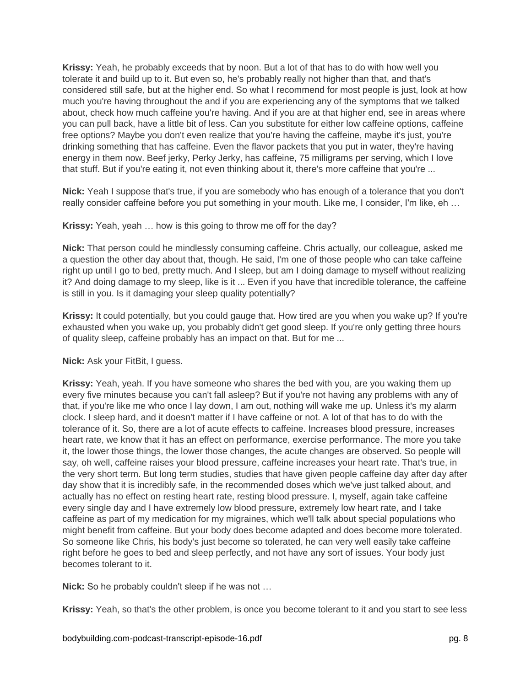**Krissy:** Yeah, he probably exceeds that by noon. But a lot of that has to do with how well you tolerate it and build up to it. But even so, he's probably really not higher than that, and that's considered still safe, but at the higher end. So what I recommend for most people is just, look at how much you're having throughout the and if you are experiencing any of the symptoms that we talked about, check how much caffeine you're having. And if you are at that higher end, see in areas where you can pull back, have a little bit of less. Can you substitute for either low caffeine options, caffeine free options? Maybe you don't even realize that you're having the caffeine, maybe it's just, you're drinking something that has caffeine. Even the flavor packets that you put in water, they're having energy in them now. Beef jerky, Perky Jerky, has caffeine, 75 milligrams per serving, which I love that stuff. But if you're eating it, not even thinking about it, there's more caffeine that you're ...

**Nick:** Yeah I suppose that's true, if you are somebody who has enough of a tolerance that you don't really consider caffeine before you put something in your mouth. Like me, I consider, I'm like, eh …

## **Krissy:** Yeah, yeah … how is this going to throw me off for the day?

**Nick:** That person could he mindlessly consuming caffeine. Chris actually, our colleague, asked me a question the other day about that, though. He said, I'm one of those people who can take caffeine right up until I go to bed, pretty much. And I sleep, but am I doing damage to myself without realizing it? And doing damage to my sleep, like is it ... Even if you have that incredible tolerance, the caffeine is still in you. Is it damaging your sleep quality potentially?

**Krissy:** It could potentially, but you could gauge that. How tired are you when you wake up? If you're exhausted when you wake up, you probably didn't get good sleep. If you're only getting three hours of quality sleep, caffeine probably has an impact on that. But for me ...

## **Nick:** Ask your FitBit, I guess.

**Krissy:** Yeah, yeah. If you have someone who shares the bed with you, are you waking them up every five minutes because you can't fall asleep? But if you're not having any problems with any of that, if you're like me who once I lay down, I am out, nothing will wake me up. Unless it's my alarm clock. I sleep hard, and it doesn't matter if I have caffeine or not. A lot of that has to do with the tolerance of it. So, there are a lot of acute effects to caffeine. Increases blood pressure, increases heart rate, we know that it has an effect on performance, exercise performance. The more you take it, the lower those things, the lower those changes, the acute changes are observed. So people will say, oh well, caffeine raises your blood pressure, caffeine increases your heart rate. That's true, in the very short term. But long term studies, studies that have given people caffeine day after day after day show that it is incredibly safe, in the recommended doses which we've just talked about, and actually has no effect on resting heart rate, resting blood pressure. I, myself, again take caffeine every single day and I have extremely low blood pressure, extremely low heart rate, and I take caffeine as part of my medication for my migraines, which we'll talk about special populations who might benefit from caffeine. But your body does become adapted and does become more tolerated. So someone like Chris, his body's just become so tolerated, he can very well easily take caffeine right before he goes to bed and sleep perfectly, and not have any sort of issues. Your body just becomes tolerant to it.

**Nick:** So he probably couldn't sleep if he was not …

**Krissy:** Yeah, so that's the other problem, is once you become tolerant to it and you start to see less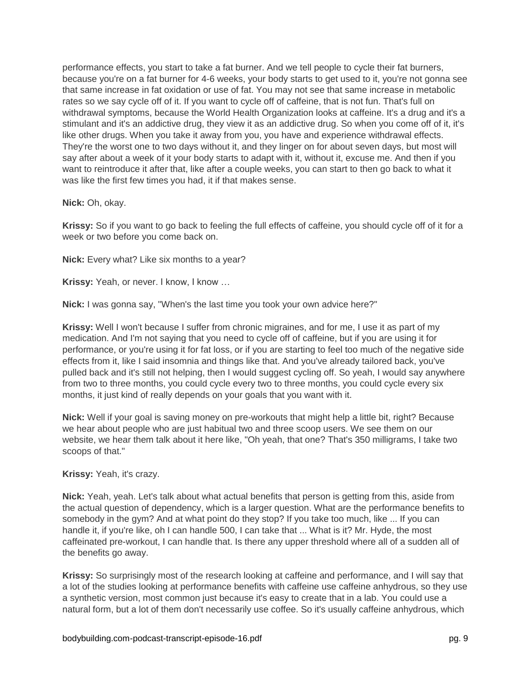performance effects, you start to take a fat burner. And we tell people to cycle their fat burners, because you're on a fat burner for 4-6 weeks, your body starts to get used to it, you're not gonna see that same increase in fat oxidation or use of fat. You may not see that same increase in metabolic rates so we say cycle off of it. If you want to cycle off of caffeine, that is not fun. That's full on withdrawal symptoms, because the World Health Organization looks at caffeine. It's a drug and it's a stimulant and it's an addictive drug, they view it as an addictive drug. So when you come off of it, it's like other drugs. When you take it away from you, you have and experience withdrawal effects. They're the worst one to two days without it, and they linger on for about seven days, but most will say after about a week of it your body starts to adapt with it, without it, excuse me. And then if you want to reintroduce it after that, like after a couple weeks, you can start to then go back to what it was like the first few times you had, it if that makes sense.

## **Nick:** Oh, okay.

**Krissy:** So if you want to go back to feeling the full effects of caffeine, you should cycle off of it for a week or two before you come back on.

**Nick:** Every what? Like six months to a year?

**Krissy:** Yeah, or never. I know, I know …

**Nick:** I was gonna say, "When's the last time you took your own advice here?"

**Krissy:** Well I won't because I suffer from chronic migraines, and for me, I use it as part of my medication. And I'm not saying that you need to cycle off of caffeine, but if you are using it for performance, or you're using it for fat loss, or if you are starting to feel too much of the negative side effects from it, like I said insomnia and things like that. And you've already tailored back, you've pulled back and it's still not helping, then I would suggest cycling off. So yeah, I would say anywhere from two to three months, you could cycle every two to three months, you could cycle every six months, it just kind of really depends on your goals that you want with it.

**Nick:** Well if your goal is saving money on pre-workouts that might help a little bit, right? Because we hear about people who are just habitual two and three scoop users. We see them on our website, we hear them talk about it here like, "Oh yeah, that one? That's 350 milligrams, I take two scoops of that."

# **Krissy:** Yeah, it's crazy.

**Nick:** Yeah, yeah. Let's talk about what actual benefits that person is getting from this, aside from the actual question of dependency, which is a larger question. What are the performance benefits to somebody in the gym? And at what point do they stop? If you take too much, like ... If you can handle it, if you're like, oh I can handle 500, I can take that ... What is it? Mr. Hyde, the most caffeinated pre-workout, I can handle that. Is there any upper threshold where all of a sudden all of the benefits go away.

**Krissy:** So surprisingly most of the research looking at caffeine and performance, and I will say that a lot of the studies looking at performance benefits with caffeine use caffeine anhydrous, so they use a synthetic version, most common just because it's easy to create that in a lab. You could use a natural form, but a lot of them don't necessarily use coffee. So it's usually caffeine anhydrous, which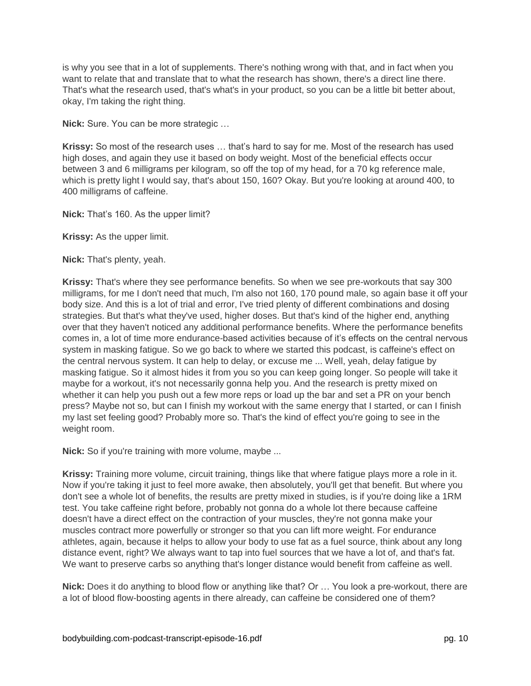is why you see that in a lot of supplements. There's nothing wrong with that, and in fact when you want to relate that and translate that to what the research has shown, there's a direct line there. That's what the research used, that's what's in your product, so you can be a little bit better about, okay, I'm taking the right thing.

**Nick:** Sure. You can be more strategic …

**Krissy:** So most of the research uses … that's hard to say for me. Most of the research has used high doses, and again they use it based on body weight. Most of the beneficial effects occur between 3 and 6 milligrams per kilogram, so off the top of my head, for a 70 kg reference male, which is pretty light I would say, that's about 150, 160? Okay. But you're looking at around 400, to 400 milligrams of caffeine.

**Nick:** That's 160. As the upper limit?

**Krissy:** As the upper limit.

**Nick:** That's plenty, yeah.

**Krissy:** That's where they see performance benefits. So when we see pre-workouts that say 300 milligrams, for me I don't need that much, I'm also not 160, 170 pound male, so again base it off your body size. And this is a lot of trial and error, I've tried plenty of different combinations and dosing strategies. But that's what they've used, higher doses. But that's kind of the higher end, anything over that they haven't noticed any additional performance benefits. Where the performance benefits comes in, a lot of time more endurance-based activities because of it's effects on the central nervous system in masking fatigue. So we go back to where we started this podcast, is caffeine's effect on the central nervous system. It can help to delay, or excuse me ... Well, yeah, delay fatigue by masking fatigue. So it almost hides it from you so you can keep going longer. So people will take it maybe for a workout, it's not necessarily gonna help you. And the research is pretty mixed on whether it can help you push out a few more reps or load up the bar and set a PR on your bench press? Maybe not so, but can I finish my workout with the same energy that I started, or can I finish my last set feeling good? Probably more so. That's the kind of effect you're going to see in the weight room.

**Nick:** So if you're training with more volume, maybe ...

**Krissy:** Training more volume, circuit training, things like that where fatigue plays more a role in it. Now if you're taking it just to feel more awake, then absolutely, you'll get that benefit. But where you don't see a whole lot of benefits, the results are pretty mixed in studies, is if you're doing like a 1RM test. You take caffeine right before, probably not gonna do a whole lot there because caffeine doesn't have a direct effect on the contraction of your muscles, they're not gonna make your muscles contract more powerfully or stronger so that you can lift more weight. For endurance athletes, again, because it helps to allow your body to use fat as a fuel source, think about any long distance event, right? We always want to tap into fuel sources that we have a lot of, and that's fat. We want to preserve carbs so anything that's longer distance would benefit from caffeine as well.

**Nick:** Does it do anything to blood flow or anything like that? Or … You look a pre-workout, there are a lot of blood flow-boosting agents in there already, can caffeine be considered one of them?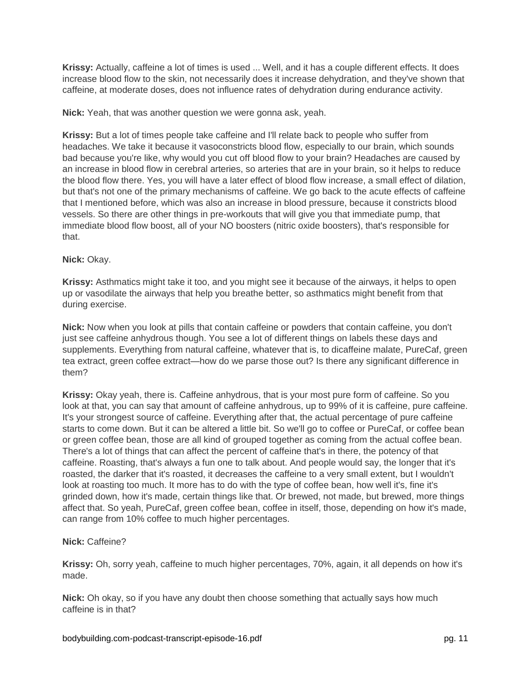**Krissy:** Actually, caffeine a lot of times is used ... Well, and it has a couple different effects. It does increase blood flow to the skin, not necessarily does it increase dehydration, and they've shown that caffeine, at moderate doses, does not influence rates of dehydration during endurance activity.

**Nick:** Yeah, that was another question we were gonna ask, yeah.

**Krissy:** But a lot of times people take caffeine and I'll relate back to people who suffer from headaches. We take it because it vasoconstricts blood flow, especially to our brain, which sounds bad because you're like, why would you cut off blood flow to your brain? Headaches are caused by an increase in blood flow in cerebral arteries, so arteries that are in your brain, so it helps to reduce the blood flow there. Yes, you will have a later effect of blood flow increase, a small effect of dilation, but that's not one of the primary mechanisms of caffeine. We go back to the acute effects of caffeine that I mentioned before, which was also an increase in blood pressure, because it constricts blood vessels. So there are other things in pre-workouts that will give you that immediate pump, that immediate blood flow boost, all of your NO boosters (nitric oxide boosters), that's responsible for that.

## **Nick:** Okay.

**Krissy:** Asthmatics might take it too, and you might see it because of the airways, it helps to open up or vasodilate the airways that help you breathe better, so asthmatics might benefit from that during exercise.

**Nick:** Now when you look at pills that contain caffeine or powders that contain caffeine, you don't just see caffeine anhydrous though. You see a lot of different things on labels these days and supplements. Everything from natural caffeine, whatever that is, to dicaffeine malate, PureCaf, green tea extract, green coffee extract—how do we parse those out? Is there any significant difference in them?

**Krissy:** Okay yeah, there is. Caffeine anhydrous, that is your most pure form of caffeine. So you look at that, you can say that amount of caffeine anhydrous, up to 99% of it is caffeine, pure caffeine. It's your strongest source of caffeine. Everything after that, the actual percentage of pure caffeine starts to come down. But it can be altered a little bit. So we'll go to coffee or PureCaf, or coffee bean or green coffee bean, those are all kind of grouped together as coming from the actual coffee bean. There's a lot of things that can affect the percent of caffeine that's in there, the potency of that caffeine. Roasting, that's always a fun one to talk about. And people would say, the longer that it's roasted, the darker that it's roasted, it decreases the caffeine to a very small extent, but I wouldn't look at roasting too much. It more has to do with the type of coffee bean, how well it's, fine it's grinded down, how it's made, certain things like that. Or brewed, not made, but brewed, more things affect that. So yeah, PureCaf, green coffee bean, coffee in itself, those, depending on how it's made, can range from 10% coffee to much higher percentages.

# **Nick:** Caffeine?

**Krissy:** Oh, sorry yeah, caffeine to much higher percentages, 70%, again, it all depends on how it's made.

**Nick:** Oh okay, so if you have any doubt then choose something that actually says how much caffeine is in that?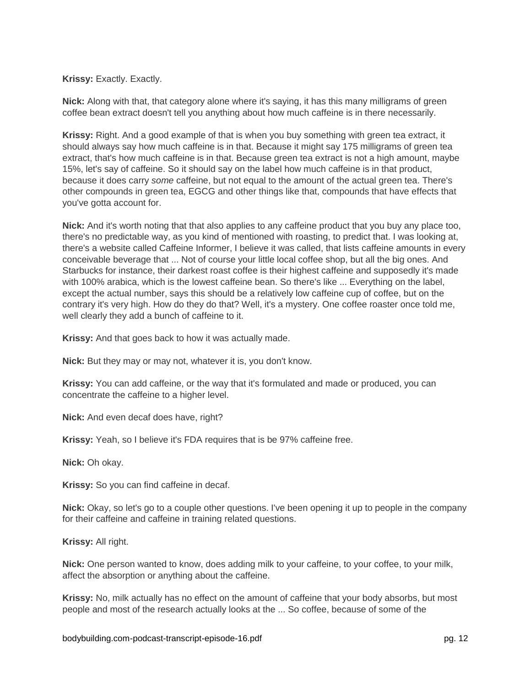**Krissy:** Exactly. Exactly.

**Nick:** Along with that, that category alone where it's saying, it has this many milligrams of green coffee bean extract doesn't tell you anything about how much caffeine is in there necessarily.

**Krissy:** Right. And a good example of that is when you buy something with green tea extract, it should always say how much caffeine is in that. Because it might say 175 milligrams of green tea extract, that's how much caffeine is in that. Because green tea extract is not a high amount, maybe 15%, let's say of caffeine. So it should say on the label how much caffeine is in that product, because it does carry *some* caffeine, but not equal to the amount of the actual green tea. There's other compounds in green tea, EGCG and other things like that, compounds that have effects that you've gotta account for.

**Nick:** And it's worth noting that that also applies to any caffeine product that you buy any place too, there's no predictable way, as you kind of mentioned with roasting, to predict that. I was looking at, there's a website called Caffeine Informer, I believe it was called, that lists caffeine amounts in every conceivable beverage that ... Not of course your little local coffee shop, but all the big ones. And Starbucks for instance, their darkest roast coffee is their highest caffeine and supposedly it's made with 100% arabica, which is the lowest caffeine bean. So there's like ... Everything on the label, except the actual number, says this should be a relatively low caffeine cup of coffee, but on the contrary it's very high. How do they do that? Well, it's a mystery. One coffee roaster once told me, well clearly they add a bunch of caffeine to it.

**Krissy:** And that goes back to how it was actually made.

**Nick:** But they may or may not, whatever it is, you don't know.

**Krissy:** You can add caffeine, or the way that it's formulated and made or produced, you can concentrate the caffeine to a higher level.

**Nick:** And even decaf does have, right?

**Krissy:** Yeah, so I believe it's FDA requires that is be 97% caffeine free.

**Nick:** Oh okay.

**Krissy:** So you can find caffeine in decaf.

**Nick:** Okay, so let's go to a couple other questions. I've been opening it up to people in the company for their caffeine and caffeine in training related questions.

**Krissy:** All right.

**Nick:** One person wanted to know, does adding milk to your caffeine, to your coffee, to your milk, affect the absorption or anything about the caffeine.

**Krissy:** No, milk actually has no effect on the amount of caffeine that your body absorbs, but most people and most of the research actually looks at the ... So coffee, because of some of the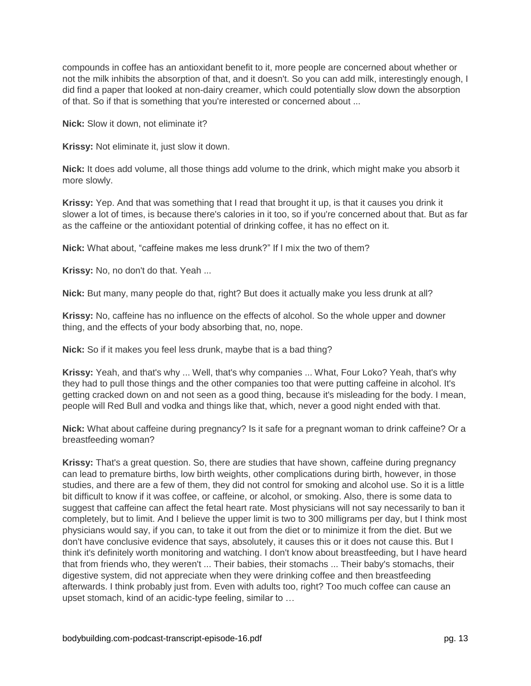compounds in coffee has an antioxidant benefit to it, more people are concerned about whether or not the milk inhibits the absorption of that, and it doesn't. So you can add milk, interestingly enough, I did find a paper that looked at non-dairy creamer, which could potentially slow down the absorption of that. So if that is something that you're interested or concerned about ...

**Nick:** Slow it down, not eliminate it?

**Krissy:** Not eliminate it, just slow it down.

**Nick:** It does add volume, all those things add volume to the drink, which might make you absorb it more slowly.

**Krissy:** Yep. And that was something that I read that brought it up, is that it causes you drink it slower a lot of times, is because there's calories in it too, so if you're concerned about that. But as far as the caffeine or the antioxidant potential of drinking coffee, it has no effect on it.

**Nick:** What about, "caffeine makes me less drunk?" If I mix the two of them?

**Krissy:** No, no don't do that. Yeah ...

**Nick:** But many, many people do that, right? But does it actually make you less drunk at all?

**Krissy:** No, caffeine has no influence on the effects of alcohol. So the whole upper and downer thing, and the effects of your body absorbing that, no, nope.

**Nick:** So if it makes you feel less drunk, maybe that is a bad thing?

**Krissy:** Yeah, and that's why ... Well, that's why companies ... What, Four Loko? Yeah, that's why they had to pull those things and the other companies too that were putting caffeine in alcohol. It's getting cracked down on and not seen as a good thing, because it's misleading for the body. I mean, people will Red Bull and vodka and things like that, which, never a good night ended with that.

**Nick:** What about caffeine during pregnancy? Is it safe for a pregnant woman to drink caffeine? Or a breastfeeding woman?

**Krissy:** That's a great question. So, there are studies that have shown, caffeine during pregnancy can lead to premature births, low birth weights, other complications during birth, however, in those studies, and there are a few of them, they did not control for smoking and alcohol use. So it is a little bit difficult to know if it was coffee, or caffeine, or alcohol, or smoking. Also, there is some data to suggest that caffeine can affect the fetal heart rate. Most physicians will not say necessarily to ban it completely, but to limit. And I believe the upper limit is two to 300 milligrams per day, but I think most physicians would say, if you can, to take it out from the diet or to minimize it from the diet. But we don't have conclusive evidence that says, absolutely, it causes this or it does not cause this. But I think it's definitely worth monitoring and watching. I don't know about breastfeeding, but I have heard that from friends who, they weren't ... Their babies, their stomachs ... Their baby's stomachs, their digestive system, did not appreciate when they were drinking coffee and then breastfeeding afterwards. I think probably just from. Even with adults too, right? Too much coffee can cause an upset stomach, kind of an acidic-type feeling, similar to …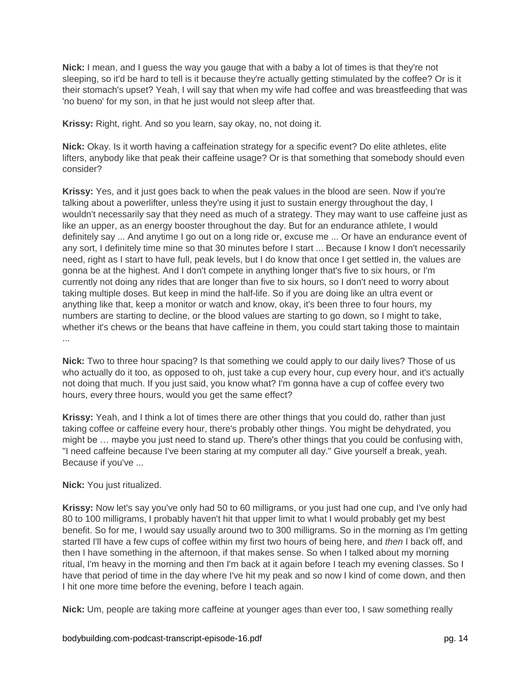**Nick:** I mean, and I guess the way you gauge that with a baby a lot of times is that they're not sleeping, so it'd be hard to tell is it because they're actually getting stimulated by the coffee? Or is it their stomach's upset? Yeah, I will say that when my wife had coffee and was breastfeeding that was 'no bueno' for my son, in that he just would not sleep after that.

**Krissy:** Right, right. And so you learn, say okay, no, not doing it.

**Nick:** Okay. Is it worth having a caffeination strategy for a specific event? Do elite athletes, elite lifters, anybody like that peak their caffeine usage? Or is that something that somebody should even consider?

**Krissy:** Yes, and it just goes back to when the peak values in the blood are seen. Now if you're talking about a powerlifter, unless they're using it just to sustain energy throughout the day, I wouldn't necessarily say that they need as much of a strategy. They may want to use caffeine just as like an upper, as an energy booster throughout the day. But for an endurance athlete, I would definitely say ... And anytime I go out on a long ride or, excuse me ... Or have an endurance event of any sort, I definitely time mine so that 30 minutes before I start ... Because I know I don't necessarily need, right as I start to have full, peak levels, but I do know that once I get settled in, the values are gonna be at the highest. And I don't compete in anything longer that's five to six hours, or I'm currently not doing any rides that are longer than five to six hours, so I don't need to worry about taking multiple doses. But keep in mind the half-life. So if you are doing like an ultra event or anything like that, keep a monitor or watch and know, okay, it's been three to four hours, my numbers are starting to decline, or the blood values are starting to go down, so I might to take, whether it's chews or the beans that have caffeine in them, you could start taking those to maintain ...

**Nick:** Two to three hour spacing? Is that something we could apply to our daily lives? Those of us who actually do it too, as opposed to oh, just take a cup every hour, cup every hour, and it's actually not doing that much. If you just said, you know what? I'm gonna have a cup of coffee every two hours, every three hours, would you get the same effect?

**Krissy:** Yeah, and I think a lot of times there are other things that you could do, rather than just taking coffee or caffeine every hour, there's probably other things. You might be dehydrated, you might be … maybe you just need to stand up. There's other things that you could be confusing with, "I need caffeine because I've been staring at my computer all day." Give yourself a break, yeah. Because if you've ...

# **Nick:** You just ritualized.

**Krissy:** Now let's say you've only had 50 to 60 milligrams, or you just had one cup, and I've only had 80 to 100 milligrams, I probably haven't hit that upper limit to what I would probably get my best benefit. So for me, I would say usually around two to 300 milligrams. So in the morning as I'm getting started I'll have a few cups of coffee within my first two hours of being here, and *then* I back off, and then I have something in the afternoon, if that makes sense. So when I talked about my morning ritual, I'm heavy in the morning and then I'm back at it again before I teach my evening classes. So I have that period of time in the day where I've hit my peak and so now I kind of come down, and then I hit one more time before the evening, before I teach again.

**Nick:** Um, people are taking more caffeine at younger ages than ever too, I saw something really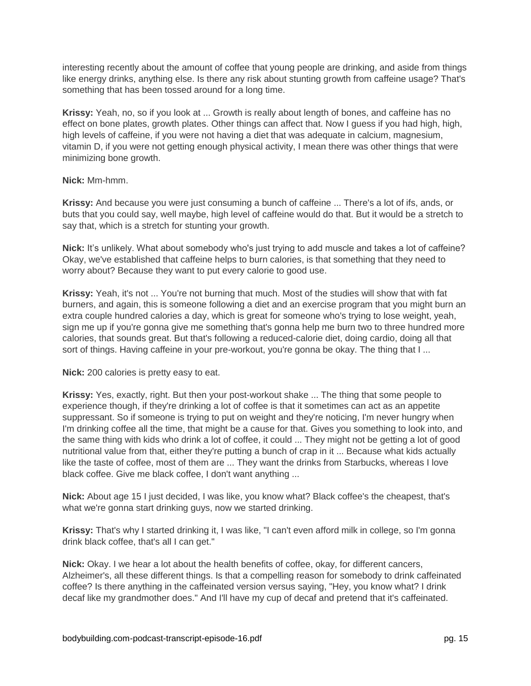interesting recently about the amount of coffee that young people are drinking, and aside from things like energy drinks, anything else. Is there any risk about stunting growth from caffeine usage? That's something that has been tossed around for a long time.

**Krissy:** Yeah, no, so if you look at ... Growth is really about length of bones, and caffeine has no effect on bone plates, growth plates. Other things can affect that. Now I guess if you had high, high, high levels of caffeine, if you were not having a diet that was adequate in calcium, magnesium, vitamin D, if you were not getting enough physical activity, I mean there was other things that were minimizing bone growth.

## **Nick:** Mm-hmm.

**Krissy:** And because you were just consuming a bunch of caffeine ... There's a lot of ifs, ands, or buts that you could say, well maybe, high level of caffeine would do that. But it would be a stretch to say that, which is a stretch for stunting your growth.

**Nick:** It's unlikely. What about somebody who's just trying to add muscle and takes a lot of caffeine? Okay, we've established that caffeine helps to burn calories, is that something that they need to worry about? Because they want to put every calorie to good use.

**Krissy:** Yeah, it's not ... You're not burning that much. Most of the studies will show that with fat burners, and again, this is someone following a diet and an exercise program that you might burn an extra couple hundred calories a day, which is great for someone who's trying to lose weight, yeah, sign me up if you're gonna give me something that's gonna help me burn two to three hundred more calories, that sounds great. But that's following a reduced-calorie diet, doing cardio, doing all that sort of things. Having caffeine in your pre-workout, you're gonna be okay. The thing that I ...

## **Nick:** 200 calories is pretty easy to eat.

**Krissy:** Yes, exactly, right. But then your post-workout shake ... The thing that some people to experience though, if they're drinking a lot of coffee is that it sometimes can act as an appetite suppressant. So if someone is trying to put on weight and they're noticing, I'm never hungry when I'm drinking coffee all the time, that might be a cause for that. Gives you something to look into, and the same thing with kids who drink a lot of coffee, it could ... They might not be getting a lot of good nutritional value from that, either they're putting a bunch of crap in it ... Because what kids actually like the taste of coffee, most of them are ... They want the drinks from Starbucks, whereas I love black coffee. Give me black coffee, I don't want anything ...

**Nick:** About age 15 I just decided, I was like, you know what? Black coffee's the cheapest, that's what we're gonna start drinking guys, now we started drinking.

**Krissy:** That's why I started drinking it, I was like, "I can't even afford milk in college, so I'm gonna drink black coffee, that's all I can get."

**Nick:** Okay. I we hear a lot about the health benefits of coffee, okay, for different cancers, Alzheimer's, all these different things. Is that a compelling reason for somebody to drink caffeinated coffee? Is there anything in the caffeinated version versus saying, "Hey, you know what? I drink decaf like my grandmother does." And I'll have my cup of decaf and pretend that it's caffeinated.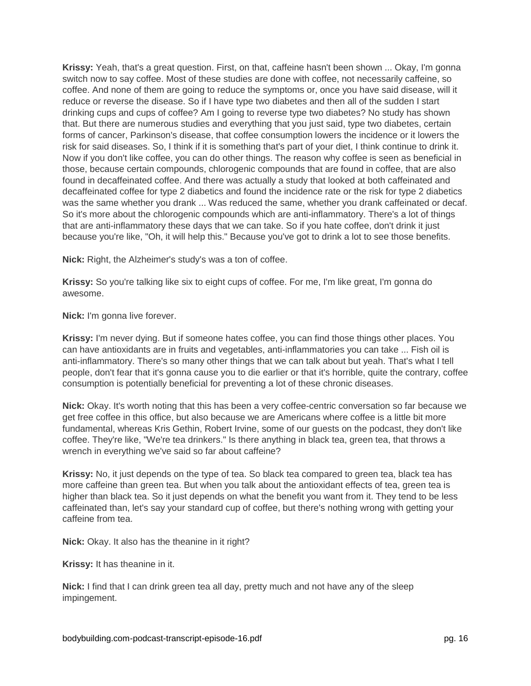**Krissy:** Yeah, that's a great question. First, on that, caffeine hasn't been shown ... Okay, I'm gonna switch now to say coffee. Most of these studies are done with coffee, not necessarily caffeine, so coffee. And none of them are going to reduce the symptoms or, once you have said disease, will it reduce or reverse the disease. So if I have type two diabetes and then all of the sudden I start drinking cups and cups of coffee? Am I going to reverse type two diabetes? No study has shown that. But there are numerous studies and everything that you just said, type two diabetes, certain forms of cancer, Parkinson's disease, that coffee consumption lowers the incidence or it lowers the risk for said diseases. So, I think if it is something that's part of your diet, I think continue to drink it. Now if you don't like coffee, you can do other things. The reason why coffee is seen as beneficial in those, because certain compounds, chlorogenic compounds that are found in coffee, that are also found in decaffeinated coffee. And there was actually a study that looked at both caffeinated and decaffeinated coffee for type 2 diabetics and found the incidence rate or the risk for type 2 diabetics was the same whether you drank ... Was reduced the same, whether you drank caffeinated or decaf. So it's more about the chlorogenic compounds which are anti-inflammatory. There's a lot of things that are anti-inflammatory these days that we can take. So if you hate coffee, don't drink it just because you're like, "Oh, it will help this." Because you've got to drink a lot to see those benefits.

**Nick:** Right, the Alzheimer's study's was a ton of coffee.

**Krissy:** So you're talking like six to eight cups of coffee. For me, I'm like great, I'm gonna do awesome.

**Nick:** I'm gonna live forever.

**Krissy:** I'm never dying. But if someone hates coffee, you can find those things other places. You can have antioxidants are in fruits and vegetables, anti-inflammatories you can take ... Fish oil is anti-inflammatory. There's so many other things that we can talk about but yeah. That's what I tell people, don't fear that it's gonna cause you to die earlier or that it's horrible, quite the contrary, coffee consumption is potentially beneficial for preventing a lot of these chronic diseases.

**Nick:** Okay. It's worth noting that this has been a very coffee-centric conversation so far because we get free coffee in this office, but also because we are Americans where coffee is a little bit more fundamental, whereas Kris Gethin, Robert Irvine, some of our guests on the podcast, they don't like coffee. They're like, "We're tea drinkers." Is there anything in black tea, green tea, that throws a wrench in everything we've said so far about caffeine?

**Krissy:** No, it just depends on the type of tea. So black tea compared to green tea, black tea has more caffeine than green tea. But when you talk about the antioxidant effects of tea, green tea is higher than black tea. So it just depends on what the benefit you want from it. They tend to be less caffeinated than, let's say your standard cup of coffee, but there's nothing wrong with getting your caffeine from tea.

**Nick:** Okay. It also has the theanine in it right?

**Krissy:** It has theanine in it.

**Nick:** I find that I can drink green tea all day, pretty much and not have any of the sleep impingement.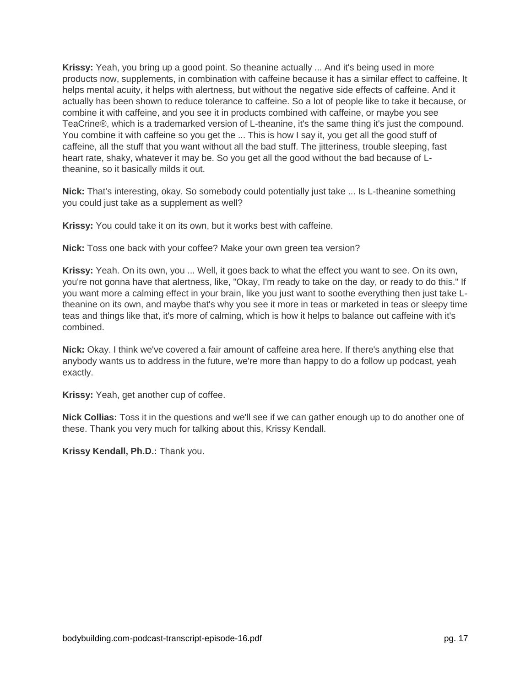**Krissy:** Yeah, you bring up a good point. So theanine actually ... And it's being used in more products now, supplements, in combination with caffeine because it has a similar effect to caffeine. It helps mental acuity, it helps with alertness, but without the negative side effects of caffeine. And it actually has been shown to reduce tolerance to caffeine. So a lot of people like to take it because, or combine it with caffeine, and you see it in products combined with caffeine, or maybe you see TeaCrine®, which is a trademarked version of L-theanine, it's the same thing it's just the compound. You combine it with caffeine so you get the ... This is how I say it, you get all the good stuff of caffeine, all the stuff that you want without all the bad stuff. The jitteriness, trouble sleeping, fast heart rate, shaky, whatever it may be. So you get all the good without the bad because of Ltheanine, so it basically milds it out.

**Nick:** That's interesting, okay. So somebody could potentially just take ... Is L-theanine something you could just take as a supplement as well?

**Krissy:** You could take it on its own, but it works best with caffeine.

**Nick:** Toss one back with your coffee? Make your own green tea version?

**Krissy:** Yeah. On its own, you ... Well, it goes back to what the effect you want to see. On its own, you're not gonna have that alertness, like, "Okay, I'm ready to take on the day, or ready to do this." If you want more a calming effect in your brain, like you just want to soothe everything then just take Ltheanine on its own, and maybe that's why you see it more in teas or marketed in teas or sleepy time teas and things like that, it's more of calming, which is how it helps to balance out caffeine with it's combined.

**Nick:** Okay. I think we've covered a fair amount of caffeine area here. If there's anything else that anybody wants us to address in the future, we're more than happy to do a follow up podcast, yeah exactly.

**Krissy:** Yeah, get another cup of coffee.

**Nick Collias:** Toss it in the questions and we'll see if we can gather enough up to do another one of these. Thank you very much for talking about this, Krissy Kendall.

**Krissy Kendall, Ph.D.:** Thank you.